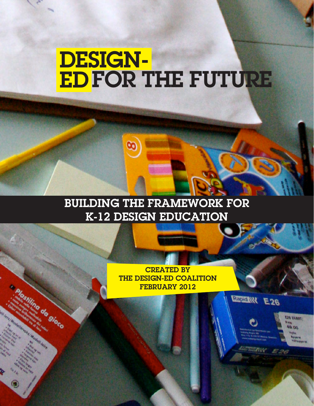# **DESIGN-**FOR THE FUTURE

BUILDING THE FRAMEWORK FOR K-12 DESIGN EDUCATION

 $\boldsymbol{\omega}$ 

de gioco

CREATED BY THE DESIGN-ED COALITION FEBRUARY 2012

REPORTER E26

**TRAVE BS**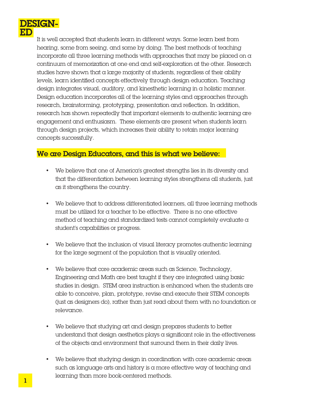

It is well accepted that students learn in different ways. Some learn best from hearing, some from seeing, and some by doing. The best methods of teaching incorporate all three learning methods with approaches that may be placed on a continuum of memorization at one end and self-exploration at the other. Research studies have shown that a large majority of students, regardless of their ability levels, learn identified concepts effectively through design education. Teaching design integrates visual, auditory, and kinesthetic learning in a holistic manner. Design education incorporates all of the learning styles and approaches through research, brainstorming, prototyping, presentation and reflection. In addition, research has shown repeatedly that important elements to authentic learning are engagement and enthusiasm. These elements are present when students learn through design projects, which increases their ability to retain major learning concepts successfully.

## We are Design Educators, and this is what we believe:

- We believe that one of America's greatest strengths lies in its diversity and that the differentiation between learning styles strengthens all students, just as it strengthens the country.
- • We believe that to address differentiated learners, all three learning methods must be utilized for a teacher to be effective. There is no one effective method of teaching and standardized tests cannot completely evaluate a student's capabilities or progress.
- • We believe that the inclusion of visual literacy promotes authentic learning for the large segment of the population that is visually oriented.
- • We believe that core academic areas such as Science, Technology, Engineering and Math are best taught if they are integrated using basic studies in design. STEM area instruction is enhanced when the students are able to conceive, plan, prototype, revise and execute their STEM concepts (just as designers do), rather than just read about them with no foundation or relevance.
- • We believe that studying art and design prepares students to better understand that design aesthetics plays a significant role in the effectiveness of the objects and environment that surround them in their daily lives.
- • We believe that studying design in coordination with core academic areas such as language arts and history is a more effective way of teaching and **learning than more book-centered methods.**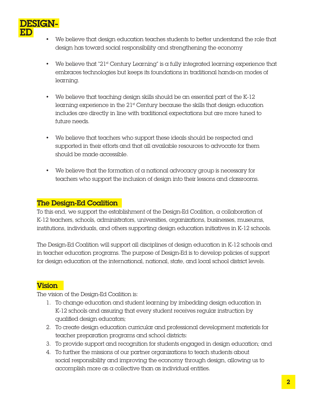

- We believe that design education teaches students to better understand the role that design has toward social responsibility and strengthening the economy
- We believe that "21st Century Learning" is a fully integrated learning experience that embraces technologies but keeps its foundations in traditional hands-on modes of learning.
- • We believe that teaching design skills should be an essential part of the K-12 learning experience in the  $21<sup>st</sup>$  Century because the skills that design education includes are directly in line with traditional expectations but are more tuned to future needs.
- We believe that teachers who support these ideals should be respected and supported in their efforts and that all available resources to advocate for them should be made accessible.
- $\bullet$  We believe that the formation of a national advocacy group is necessary for teachers who support the inclusion of design into their lessons and classrooms.

# The Design-Ed Coalition

To this end, we support the establishment of the Design-Ed Coalition, a collaboration of K-12 teachers, schools, administrators, universities, organizations, businesses, museums, institutions, individuals, and others supporting design education initiatives in K-12 schools.

The Design-Ed Coalition will support all disciplines of design education in K-12 schools and in teacher education programs. The purpose of Design-Ed is to develop policies of support for design education at the international, national, state, and local school district levels.

# Vision

The vision of the Design-Ed Coalition is:

- 1. To change education and student learning by imbedding design education in K-12 schools and assuring that every student receives regular instruction by qualified design educators;
- 2. To create design education curricular and professional development materials for teacher preparation programs and school districts:
- 3. To provide support and recognition for students engaged in design education; and
- 4. To further the missions of our partner organizations to teach students about social responsibility and improving the economy through design, allowing us to accomplish more as a collective than as individual entities.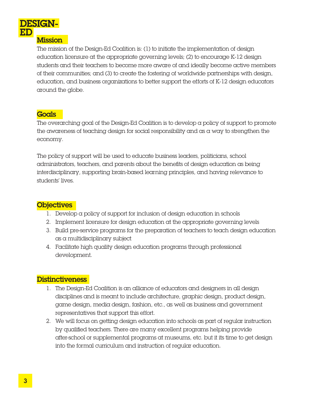

#### Mission

The mission of the Design-Ed Coalition is: (1) to initiate the implementation of design education licensure at the appropriate governing levels; (2) to encourage K-12 design students and their teachers to become more aware of and ideally become active members of their communities; and (3) to create the fostering of worldwide partnerships with design, education, and business organizations to better support the efforts of K-12 design educators around the globe.

#### **Goals**

The overarching goal of the Design-Ed Coalition is to develop a policy of support to promote the awareness of teaching design for social responsibility and as a way to strengthen the economy.

The policy of support will be used to educate business leaders, politicians, school administrators, teachers, and parents about the benefits of design education as being interdisciplinary, supporting brain-based learning principles, and having relevance to students' lives.

#### **Objectives**

- 1. Develop a policy of support for inclusion of design education in schools
- 2. Implement licensure for design education at the appropriate governing levels
- 3. Build pre-service programs for the preparation of teachers to teach design education as a multidisciplinary subject
- 4. Facilitate high quality design education programs through professional development.

#### **Distinctiveness**

- 1. The Design-Ed Coalition is an alliance of educators and designers in all design disciplines and is meant to include architecture, graphic design, product design, game design, media design, fashion, etc., as well as business and government representatives that support this effort.
- 2. We will focus on getting design education into schools as part of regular instruction by qualified teachers. There are many excellent programs helping provide after-school or supplemental programs at museums, etc. but it its time to get design into the formal curriculum and instruction of regular education.